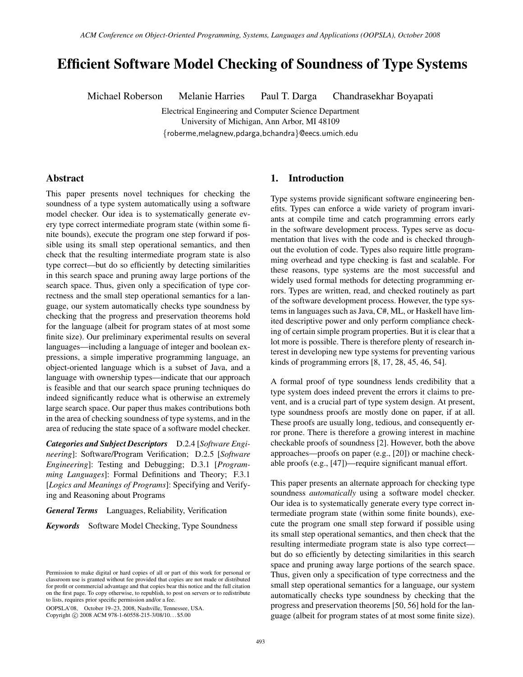# Efficient Software Model Checking of Soundness of Type Systems

Michael Roberson Melanie Harries Paul T. Darga Chandrasekhar Boyapati

Electrical Engineering and Computer Science Department University of Michigan, Ann Arbor, MI 48109

{roberme,melagnew,pdarga,bchandra}@eecs.umich.edu

# Abstract

This paper presents novel techniques for checking the soundness of a type system automatically using a software model checker. Our idea is to systematically generate every type correct intermediate program state (within some finite bounds), execute the program one step forward if possible using its small step operational semantics, and then check that the resulting intermediate program state is also type correct—but do so efficiently by detecting similarities in this search space and pruning away large portions of the search space. Thus, given only a specification of type correctness and the small step operational semantics for a language, our system automatically checks type soundness by checking that the progress and preservation theorems hold for the language (albeit for program states of at most some finite size). Our preliminary experimental results on several languages—including a language of integer and boolean expressions, a simple imperative programming language, an object-oriented language which is a subset of Java, and a language with ownership types—indicate that our approach is feasible and that our search space pruning techniques do indeed significantly reduce what is otherwise an extremely large search space. Our paper thus makes contributions both in the area of checking soundness of type systems, and in the area of reducing the state space of a software model checker.

*Categories and Subject Descriptors* D.2.4 [*Software Engineering*]: Software/Program Verification; D.2.5 [*Software Engineering*]: Testing and Debugging; D.3.1 [*Programming Languages*]: Formal Definitions and Theory; F.3.1 [*Logics and Meanings of Programs*]: Specifying and Verifying and Reasoning about Programs

*General Terms* Languages, Reliability, Verification

*Keywords* Software Model Checking, Type Soundness

OOPSLA'08, October 19–23, 2008, Nashville, Tennessee, USA. Copyright © 2008 ACM 978-1-60558-215-3/08/10... \$5.00

# 1. Introduction

Type systems provide significant software engineering benefits. Types can enforce a wide variety of program invariants at compile time and catch programming errors early in the software development process. Types serve as documentation that lives with the code and is checked throughout the evolution of code. Types also require little programming overhead and type checking is fast and scalable. For these reasons, type systems are the most successful and widely used formal methods for detecting programming errors. Types are written, read, and checked routinely as part of the software development process. However, the type systems in languages such as Java, C#, ML, or Haskell have limited descriptive power and only perform compliance checking of certain simple program properties. But it is clear that a lot more is possible. There is therefore plenty of research interest in developing new type systems for preventing various kinds of programming errors [8, 17, 28, 45, 46, 54].

A formal proof of type soundness lends credibility that a type system does indeed prevent the errors it claims to prevent, and is a crucial part of type system design. At present, type soundness proofs are mostly done on paper, if at all. These proofs are usually long, tedious, and consequently error prone. There is therefore a growing interest in machine checkable proofs of soundness [2]. However, both the above approaches—proofs on paper (e.g., [20]) or machine checkable proofs (e.g., [47])—require significant manual effort.

This paper presents an alternate approach for checking type soundness *automatically* using a software model checker. Our idea is to systematically generate every type correct intermediate program state (within some finite bounds), execute the program one small step forward if possible using its small step operational semantics, and then check that the resulting intermediate program state is also type correct but do so efficiently by detecting similarities in this search space and pruning away large portions of the search space. Thus, given only a specification of type correctness and the small step operational semantics for a language, our system automatically checks type soundness by checking that the progress and preservation theorems [50, 56] hold for the language (albeit for program states of at most some finite size).

Permission to make digital or hard copies of all or part of this work for personal or classroom use is granted without fee provided that copies are not made or distributed for profit or commercial advantage and that copies bear this notice and the full citation on the first page. To copy otherwise, to republish, to post on servers or to redistribute to lists, requires prior specific permission and/or a fee.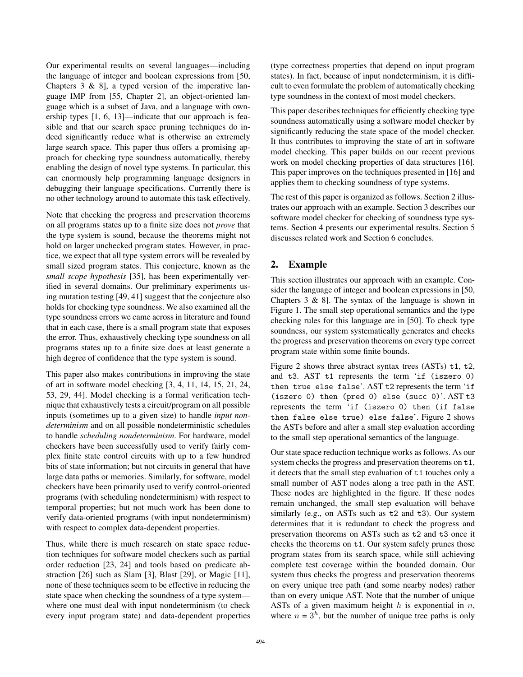Our experimental results on several languages—including the language of integer and boolean expressions from [50, Chapters  $3 \& 8$ ], a typed version of the imperative language IMP from [55, Chapter 2], an object-oriented language which is a subset of Java, and a language with ownership types [1, 6, 13]—indicate that our approach is feasible and that our search space pruning techniques do indeed significantly reduce what is otherwise an extremely large search space. This paper thus offers a promising approach for checking type soundness automatically, thereby enabling the design of novel type systems. In particular, this can enormously help programming language designers in debugging their language specifications. Currently there is no other technology around to automate this task effectively.

Note that checking the progress and preservation theorems on all programs states up to a finite size does not *prove* that the type system is sound, because the theorems might not hold on larger unchecked program states. However, in practice, we expect that all type system errors will be revealed by small sized program states. This conjecture, known as the *small scope hypothesis* [35], has been experimentally verified in several domains. Our preliminary experiments using mutation testing [49, 41] suggest that the conjecture also holds for checking type soundness. We also examined all the type soundness errors we came across in literature and found that in each case, there is a small program state that exposes the error. Thus, exhaustively checking type soundness on all programs states up to a finite size does at least generate a high degree of confidence that the type system is sound.

This paper also makes contributions in improving the state of art in software model checking [3, 4, 11, 14, 15, 21, 24, 53, 29, 44]. Model checking is a formal verification technique that exhaustively tests a circuit/program on all possible inputs (sometimes up to a given size) to handle *input nondeterminism* and on all possible nondeterministic schedules to handle *scheduling nondeterminism*. For hardware, model checkers have been successfully used to verify fairly complex finite state control circuits with up to a few hundred bits of state information; but not circuits in general that have large data paths or memories. Similarly, for software, model checkers have been primarily used to verify control-oriented programs (with scheduling nondeterminism) with respect to temporal properties; but not much work has been done to verify data-oriented programs (with input nondeterminism) with respect to complex data-dependent properties.

Thus, while there is much research on state space reduction techniques for software model checkers such as partial order reduction [23, 24] and tools based on predicate abstraction [26] such as Slam [3], Blast [29], or Magic [11], none of these techniques seem to be effective in reducing the state space when checking the soundness of a type system where one must deal with input nondeterminism (to check every input program state) and data-dependent properties (type correctness properties that depend on input program states). In fact, because of input nondeterminism, it is difficult to even formulate the problem of automatically checking type soundness in the context of most model checkers.

This paper describes techniques for efficiently checking type soundness automatically using a software model checker by significantly reducing the state space of the model checker. It thus contributes to improving the state of art in software model checking. This paper builds on our recent previous work on model checking properties of data structures [16]. This paper improves on the techniques presented in [16] and applies them to checking soundness of type systems.

The rest of this paper is organized as follows. Section 2 illustrates our approach with an example. Section 3 describes our software model checker for checking of soundness type systems. Section 4 presents our experimental results. Section 5 discusses related work and Section 6 concludes.

# 2. Example

This section illustrates our approach with an example. Consider the language of integer and boolean expressions in [50, Chapters 3 & 8]. The syntax of the language is shown in Figure 1. The small step operational semantics and the type checking rules for this language are in [50]. To check type soundness, our system systematically generates and checks the progress and preservation theorems on every type correct program state within some finite bounds.

Figure 2 shows three abstract syntax trees (ASTs) t1, t2, and t3. AST t1 represents the term 'if (iszero 0) then true else false'. AST t2 represents the term 'if (iszero 0) then (pred 0) else (succ 0)'. AST t3 represents the term 'if (iszero 0) then (if false then false else true) else false'. Figure 2 shows the ASTs before and after a small step evaluation according to the small step operational semantics of the language.

Our state space reduction technique works as follows. As our system checks the progress and preservation theorems on t1, it detects that the small step evaluation of t1 touches only a small number of AST nodes along a tree path in the AST. These nodes are highlighted in the figure. If these nodes remain unchanged, the small step evaluation will behave similarly (e.g., on ASTs such as t2 and t3). Our system determines that it is redundant to check the progress and preservation theorems on ASTs such as t2 and t3 once it checks the theorems on t1. Our system safely prunes those program states from its search space, while still achieving complete test coverage within the bounded domain. Our system thus checks the progress and preservation theorems on every unique tree path (and some nearby nodes) rather than on every unique AST. Note that the number of unique ASTs of a given maximum height  $h$  is exponential in  $n$ , where  $n = 3<sup>h</sup>$ , but the number of unique tree paths is only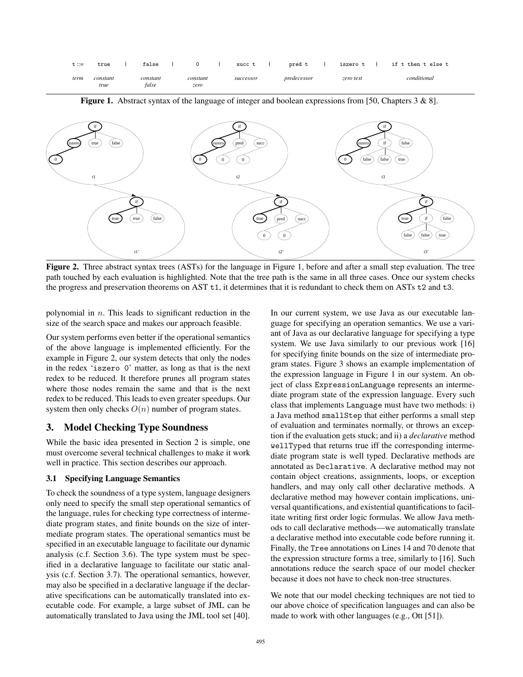| t ::= | true             | false             |                  | succ t    | pred t      | iszero t  | if t then t else t |
|-------|------------------|-------------------|------------------|-----------|-------------|-----------|--------------------|
| term  | constant<br>true | constant<br>false | constant<br>zero | successor | predecessor | zero test | conditional        |

t1 t1' if iszero) (true) (false 0 if true **f** (true ) (false pred ) (succ 0) (0 pred ) (succ 0) (0 t2 t2' if iszero 0 if true t3 t3' if iszero) (if) (false  $\mathbf{0}$ if true **j** (if ) (false false ) ( false ) ( true false ) (false ) (true

Figure 1. Abstract syntax of the language of integer and boolean expressions from [50, Chapters 3 & 8].

Figure 2. Three abstract syntax trees (ASTs) for the language in Figure 1, before and after a small step evaluation. The tree path touched by each evaluation is highlighted. Note that the tree path is the same in all three cases. Once our system checks the progress and preservation theorems on AST t1, it determines that it is redundant to check them on ASTs t2 and t3.

polynomial in  $n$ . This leads to significant reduction in the size of the search space and makes our approach feasible.

Our system performs even better if the operational semantics of the above language is implemented efficiently. For the example in Figure 2, our system detects that only the nodes in the redex 'iszero 0' matter, as long as that is the next redex to be reduced. It therefore prunes all program states where those nodes remain the same and that is the next redex to be reduced. This leads to even greater speedups. Our system then only checks  $O(n)$  number of program states.

# 3. Model Checking Type Soundness

While the basic idea presented in Section 2 is simple, one must overcome several technical challenges to make it work well in practice. This section describes our approach.

# 3.1 Specifying Language Semantics

To check the soundness of a type system, language designers only need to specify the small step operational semantics of the language, rules for checking type correctness of intermediate program states, and finite bounds on the size of intermediate program states. The operational semantics must be specified in an executable language to facilitate our dynamic analysis (c.f. Section 3.6). The type system must be specified in a declarative language to facilitate our static analysis (c.f. Section 3.7). The operational semantics, however, may also be specified in a declarative language if the declarative specifications can be automatically translated into executable code. For example, a large subset of JML can be automatically translated to Java using the JML tool set [40].

In our current system, we use Java as our executable language for specifying an operation semantics. We use a variant of Java as our declarative language for specifying a type system. We use Java similarly to our previous work [16] for specifying finite bounds on the size of intermediate program states. Figure 3 shows an example implementation of the expression language in Figure 1 in our system. An object of class ExpressionLanguage represents an intermediate program state of the expression language. Every such class that implements Language must have two methods: i) a Java method smallStep that either performs a small step of evaluation and terminates normally, or throws an exception if the evaluation gets stuck; and ii) a *declarative* method wellTyped that returns true iff the corresponding intermediate program state is well typed. Declarative methods are annotated as Declarative. A declarative method may not contain object creations, assignments, loops, or exception handlers, and may only call other declarative methods. A declarative method may however contain implications, universal quantifications, and existential quantifications to facilitate writing first order logic formulas. We allow Java methods to call declarative methods—we automatically translate a declarative method into executable code before running it. Finally, the Tree annotations on Lines 14 and 70 denote that the expression structure forms a tree, similarly to [16]. Such annotations reduce the search space of our model checker because it does not have to check non-tree structures.

We note that our model checking techniques are not tied to our above choice of specification languages and can also be made to work with other languages (e.g., Ott [51]).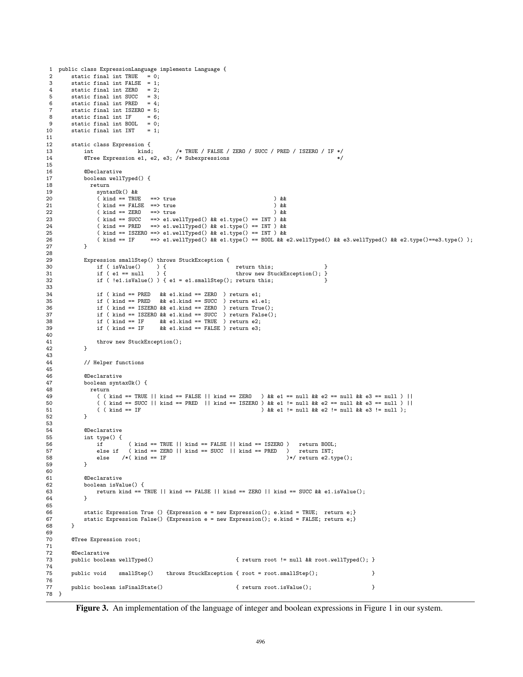```
1 public class ExpressionLanguage implements Language {
2 static final int TRUE = 0;<br>3 static final int FALSE = 1:
3 static final int FALSE = 1;<br>4 static final int ZERO = 2:
         static final int ZERO = 2;<br>static final int SUCC = 3;
 5 static final int SUCC = 3;<br>6 static final int PRED = 4;
         static final int PRED
 7 static final int ISZERO = 5;
8 static final int IF = 6;<br>9 static final int BOOL = 0;
9 static final int BOOL<br>10 static final int INT
        static final int INT = 1;
\frac{11}{12}static class Expression {
13 int kind; /* TRUE / FALSE / ZERO / SUCC / PRED / ISZERO / IF */
14 @Tree Expression e1, e2, e3; /* Subexpressions */
15
16 @Declarative<br>17 boolean well
17 boolean wellTyped() {<br>18 return
18 return<br>19 synta
19 syntax0k() & &<br>20 (kind == TRU
20 (\text{kind} == \text{TRUE} ==\text{true}) &&<br>21 (\text{kind} == \text{FALSE} ==\text{true}) &&
21 ( kind == FALSE ==> true ) &&<br>22 ( kind == ZERO ==> true ) &&
22 (\text{kind} == \text{ZERO}<br>
23 (\text{kind} == \text{SUCC}( kind == SUCC ==> e1.wellTyped() \& k e1.type() == INT ) \& k<br>( kind == PRED ==> e1.wellTyped() \& k e1.type() == INT ) \& k24 ( kind == PRED ==> e1.wellTyped() && e1.type() == INT ) &&<br>25 ( kind == ISZERO ==> e1.wellTyped() && e1.type() == INT ) &&
25 ( kind == ISZERO ==> e1.wellTyped() && e1.type() == INT ) &&<br>26 ( kind == IF ==> e1.wellTyped() && e1.type() == BOOL && e
                                  = \ge e1.wellTyped() && e1.type() == BOOL && e2.wellTyped() && e3.wellTyped() && e2.type()==e3.type() );
27 }
28
29 Expression smallStep() throws StuckException {<br>30 11 ( is<br>31 11 31
30 if ( isValue() ) { return this;<br>31 if ( e1 == null ) { throw new St
                                                                    throw new StuckException(); }
32 if ( !e1.isValue() ) { e1 = e1.smallStep(); return this; }
33
34 if ( kind == PRED && e1.kind == ZERO ) return e1;
35 if ( kind == PRED && e1.kind == SUCC ) return e1.e1;
36 if ( kind == ISZERO && e1.kind == ZERO ) return True(j;37 if ( kind == ISZERO && e1.kind == SUCC ) return False();
38 if ( kind == IF && e1.kind == TRUE ) return e2;
39 if ( kind == IF && e1.kind == FALSE ) return e3;
40
41 throw new StuckException();<br>42 }
42
43
44 // Helper functions
45
46 @Declarative
47 boolean syntaxOk() {
48 return
49 ( ( kind == TRUE || kind == FALSE || kind == ZERO ) && e1 == null && e2 == null && e3 == null ) ||<br>50 ( ( kind == SUCC || kind == PRED || kind == ISZERO ) && e1 != null && e2 == null && e3 == null ) ||
                  ( ( kind == SUCC || kind == PRED || kind == ISZERO ) && e1 != null && e2 == null && e3 == null ) ||
51 ( ( kind == IF ) && e1 != null && e2 != null && e3 != null );<br>52 }
52
53
54 @Declarative<br>55 mt type() {
             int type() {
56 if ( kind == TRUE || kind == FALSE || kind == ISZERO ) return BOOL;<br>57 else if ( kind == ZERO || kind == SUCC || kind == PRED ) return INT:
57 else if ( kind == ZERO || kind == SUCC || kind == PRED )<br>58 else /*( kind == IF
                  else /* (kind == IF )*/ return e2.type();
59 }
60
61 @Declarative<br>62 boolean is Va
62 boolean isValue() {<br>63 return kind == '
                  return kind == TRUE || kind == FALSE || kind == ZERO || kind == SUCC && e1.isValue();
64 }
65
             static Expression True () {Expression e = new Expression(); e.kind = TRUE; return e;}
67 static Expression False() {Expression e = new Expression(); e.kind = FALSE; return e; }<br>68 }
68 }
69<br>70
        @Tree Expression root;
71
72 ©Declarative<br>73 public boolean wellTyped()
                                                                    { return root != null && root.wellTyped(); }
74
         public void smallStep() throws StuckException { root = root.smallStep(); } }
76
         77 public boolean isFinalState() { return root.isValue(); }
78 }
```
Figure 3. An implementation of the language of integer and boolean expressions in Figure 1 in our system.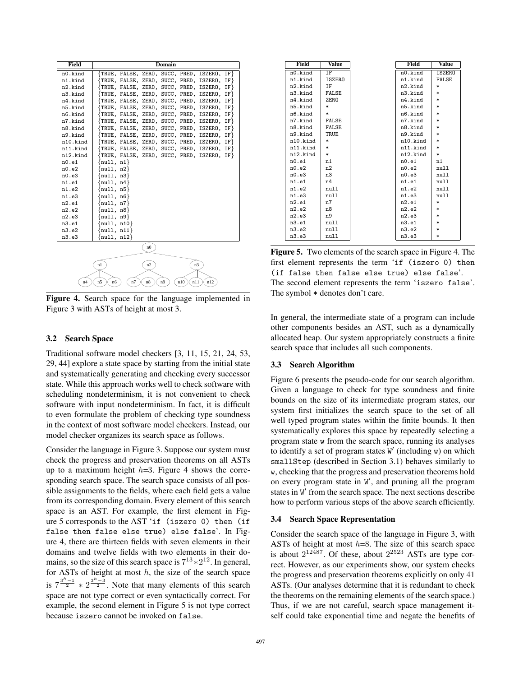| Field    |                                     |    |                | <b>Domain</b> |                |                                                 |  |
|----------|-------------------------------------|----|----------------|---------------|----------------|-------------------------------------------------|--|
| n0.kind  |                                     |    |                |               |                | {TRUE, FALSE, ZERO, SUCC, PRED, ISZERO, IF}     |  |
| n1.kind  |                                     |    |                |               |                | $\{TRUE, FALSE, ZERO, SUCC, PRED, ISZERO, IF\}$ |  |
| n2.kind  |                                     |    |                |               |                | $\{TRUE, FALSE, ZERO, SUCC, PRED, ISZERO, IF\}$ |  |
| n3.kind  |                                     |    |                |               |                | {TRUE, FALSE, ZERO, SUCC, PRED, ISZERO, IF}     |  |
| n4.kind  |                                     |    |                |               |                | {TRUE, FALSE, ZERO, SUCC, PRED, ISZERO, IF}     |  |
| n5.kind  |                                     |    |                |               |                | $\{TRUE, FALSE, ZERO, SUCC, PRED, ISZERO, IF\}$ |  |
| n6.kind  |                                     |    |                |               |                | $\{TRUE, FALSE, ZERO, SUCC, PRED, ISZERO, IF\}$ |  |
| n7.kind  |                                     |    |                |               |                | $\{TRUE, FALSE, ZERO, SUCC, PRED, ISZERO, IF\}$ |  |
| n8.kind  |                                     |    |                |               |                | {TRUE, FALSE, ZERO, SUCC, PRED, ISZERO, IF}     |  |
| n9.kind  |                                     |    |                |               |                | $\{TRUE, FALSE, ZERO, SUCC, PRED, ISZERO, IF\}$ |  |
| n10.kind |                                     |    |                |               |                | $\{TRUE, FALSE, ZERO, SUCC, PRED, ISZERO, IF\}$ |  |
| n11.kind |                                     |    |                |               |                | TRUE, FALSE, ZERO, SUCC, PRED, ISZERO, IF}      |  |
| n12.kind |                                     |    |                |               |                | $\{TRUE, FALSE, ZERO, SUCC, PRED, ISZERO, IF\}$ |  |
| n0.e1    | $\{null, n1\}$                      |    |                |               |                |                                                 |  |
| n0.e2    | $\{null, n2\}$                      |    |                |               |                |                                                 |  |
| n0.e3    | $\{\texttt{null}, \ \texttt{n3}\}$  |    |                |               |                |                                                 |  |
| n1.e1    | $\{null, n4\}$                      |    |                |               |                |                                                 |  |
| n1.e2    | $\{null, n5\}$                      |    |                |               |                |                                                 |  |
| n1.e3    | $\{null, n6\}$                      |    |                |               |                |                                                 |  |
| n2.e1    | $\{null, n7\}$                      |    |                |               |                |                                                 |  |
| n2.e2    | $\{\texttt{null}, \ \texttt{n8}\}$  |    |                |               |                |                                                 |  |
| n2.e3    | $\{\texttt{null}, \ \texttt{n9}\}$  |    |                |               |                |                                                 |  |
| n3.e1    | $\{null, n10\}$                     |    |                |               |                |                                                 |  |
| n3.e2    | $\{null, n11\}$                     |    |                |               |                |                                                 |  |
| n3.e3    | $\{\texttt{null}, \ \texttt{m12}\}$ |    |                |               |                |                                                 |  |
|          |                                     |    | n <sub>0</sub> |               |                |                                                 |  |
|          |                                     |    |                |               |                |                                                 |  |
|          | n1                                  |    | n2             |               | n <sup>3</sup> |                                                 |  |
|          |                                     |    |                |               |                |                                                 |  |
|          |                                     |    |                |               |                |                                                 |  |
| n4       | n <sub>5</sub><br>n6                | n7 | n8             | n9            | n10<br>n11     | n12                                             |  |
|          |                                     |    |                |               |                |                                                 |  |

Figure 4. Search space for the language implemented in Figure 3 with ASTs of height at most 3.

# 3.2 Search Space

Traditional software model checkers [3, 11, 15, 21, 24, 53, 29, 44] explore a state space by starting from the initial state and systematically generating and checking every successor state. While this approach works well to check software with scheduling nondeterminism, it is not convenient to check software with input nondeterminism. In fact, it is difficult to even formulate the problem of checking type soundness in the context of most software model checkers. Instead, our model checker organizes its search space as follows.

Consider the language in Figure 3. Suppose our system must check the progress and preservation theorems on all ASTs up to a maximum height  $h=3$ . Figure 4 shows the corresponding search space. The search space consists of all possible assignments to the fields, where each field gets a value from its corresponding domain. Every element of this search space is an AST. For example, the first element in Figure 5 corresponds to the AST 'if (iszero 0) then (if false then false else true) else false'. In Figure 4, there are thirteen fields with seven elements in their domains and twelve fields with two elements in their domains, so the size of this search space is  $7^{13} \times 2^{12}$ . In general, for ASTs of height at most  $h$ , the size of the search space is  $7^{\frac{3h-1}{2}} \times 2^{\frac{3h-3}{2}}$ . Note that many elements of this search space are not type correct or even syntactically correct. For example, the second element in Figure 5 is not type correct because iszero cannot be invoked on false.

| Field    | Value            | Field    | Value         |
|----------|------------------|----------|---------------|
| n0.kind  | <b>TF</b>        | n0.kind  | <b>ISZERO</b> |
| n1.kind  | <b>ISZERO</b>    | n1.kind  | <b>FALSE</b>  |
| n2.kind  | <b>IF</b>        | n2.kind  | $\ast$        |
| n3.kind  | <b>FALSE</b>     | n3.kind  | $\ast$        |
| n4.kind  | ZER <sub>0</sub> | n4.kind  | $\ast$        |
| n5.kind  | $\ast$           | n5.kind  | $\ast$        |
| n6.kind  | $\ast$           | n6.kind  | $\ast$        |
| n7.kind  | <b>FALSE</b>     | n7.kind  | $\ast$        |
| n8.kind  | <b>FALSE</b>     | n8.kind  | $\ast$        |
| n9.kind  | <b>TRUE</b>      | n9.kind  | $\ast$        |
| n10.kind | $\ast$           | n10.kind | $\ast$        |
| n11.kind | $\ast$           | n11.kind | $\ast$        |
| n12.kind | $\ast$           | n12.kind | $\ast$        |
| n0.e1    | n1               | n0.e1    | n1            |
| n0.e2    | n2               | n0.e2    | null          |
| n0.e3    | n3               | n0.e3    | null          |
| n1.e1    | n4               | n1.e1    | null          |
| n1.e2    | null             | n1.e2    | null          |
| n1.e3    | null             | n1.e3    | nu11          |
| n2.e1    | n7               | n2.e1    | $\ast$        |
| n2.e2    | n8               | n2.e2    | $\ast$        |
| n2.e3    | n9               | n2.e3    | $\ast$        |
| n3.e1    | null             | n3.e1    | $\ast$        |
| n3.e2    | null             | n3.e2    | $\ast$        |
| n3.e3    | null             | n3.e3    | $\ast$        |

Figure 5. Two elements of the search space in Figure 4. The first element represents the term 'if (iszero 0) then (if false then false else true) else false'. The second element represents the term 'iszero false'. The symbol  $*$  denotes don't care.

In general, the intermediate state of a program can include other components besides an AST, such as a dynamically allocated heap. Our system appropriately constructs a finite search space that includes all such components.

#### 3.3 Search Algorithm

Figure 6 presents the pseudo-code for our search algorithm. Given a language to check for type soundness and finite bounds on the size of its intermediate program states, our system first initializes the search space to the set of all well typed program states within the finite bounds. It then systematically explores this space by repeatedly selecting a program state w from the search space, running its analyses to identify a set of program states  $W'$  (including  $w$ ) on which smallStep (described in Section 3.1) behaves similarly to w, checking that the progress and preservation theorems hold on every program state in  $W'$ , and pruning all the program states in W' from the search space. The next sections describe how to perform various steps of the above search efficiently.

#### 3.4 Search Space Representation

Consider the search space of the language in Figure 3, with ASTs of height at most  $h=8$ . The size of this search space is about  $2^{12487}$ . Of these, about  $2^{2523}$  ASTs are type correct. However, as our experiments show, our system checks the progress and preservation theorems explicitly on only 41 ASTs. (Our analyses determine that it is redundant to check the theorems on the remaining elements of the search space.) Thus, if we are not careful, search space management itself could take exponential time and negate the benefits of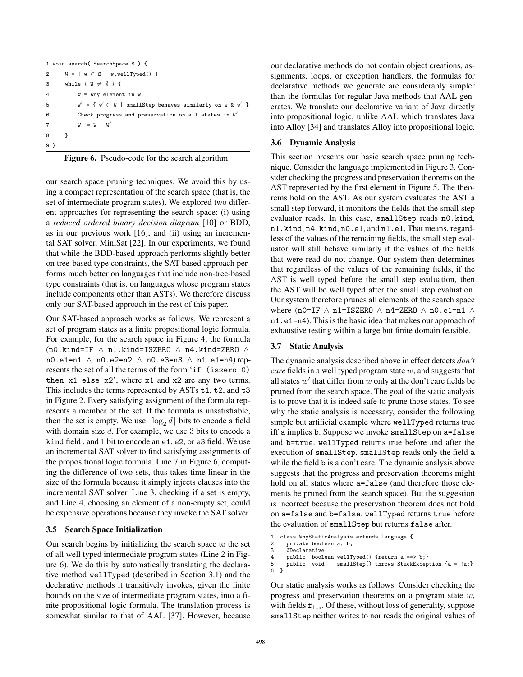```
1 void search( SearchSpace S ) {
2 W = \{ w \in S \mid w<u>wellTyped()</u> }3 while (W \neq \emptyset) {
4 w = Any element in W
5 W' = \{ w' \in W \mid \text{smallStep behaves similarly on } w \& w' \}6 Check progress and preservation on all states in W'7 W = W - W'8 }
9 }
```

|  | Figure 6. Pseudo-code for the search algorithm. |  |  |  |
|--|-------------------------------------------------|--|--|--|
|--|-------------------------------------------------|--|--|--|

our search space pruning techniques. We avoid this by using a compact representation of the search space (that is, the set of intermediate program states). We explored two different approaches for representing the search space: (i) using a *reduced ordered binary decision diagram* [10] or BDD, as in our previous work [16], and (ii) using an incremental SAT solver, MiniSat [22]. In our experiments, we found that while the BDD-based approach performs slightly better on tree-based type constraints, the SAT-based approach performs much better on languages that include non-tree-based type constraints (that is, on languages whose program states include components other than ASTs). We therefore discuss only our SAT-based approach in the rest of this paper.

Our SAT-based approach works as follows. We represent a set of program states as a finite propositional logic formula. For example, for the search space in Figure 4, the formula  $($ n0.kind=IF  $\wedge$  n1.kind=ISZERO  $\wedge$  n4.kind=ZERO  $\wedge$ n0.e1=n1 ∧ n0.e2=n2 ∧ n0.e3=n3 ∧ n1.e1=n4) represents the set of all the terms of the form 'if (iszero 0) then x1 else x2', where x1 and x2 are any two terms. This includes the terms represented by ASTs t1, t2, and t3 in Figure 2. Every satisfying assignment of the formula represents a member of the set. If the formula is unsatisfiable, then the set is empty. We use  $\lceil \log_2 d \rceil$  bits to encode a field with domain size d. For example, we use 3 bits to encode a kind field , and 1 bit to encode an e1, e2, or e3 field. We use an incremental SAT solver to find satisfying assignments of the propositional logic formula. Line 7 in Figure 6, computing the difference of two sets, thus takes time linear in the size of the formula because it simply injects clauses into the incremental SAT solver. Line 3, checking if a set is empty, and Line 4, choosing an element of a non-empty set, could be expensive operations because they invoke the SAT solver.

#### 3.5 Search Space Initialization

Our search begins by initializing the search space to the set of all well typed intermediate program states (Line 2 in Figure 6). We do this by automatically translating the declarative method wellTyped (described in Section 3.1) and the declarative methods it transitively invokes, given the finite bounds on the size of intermediate program states, into a finite propositional logic formula. The translation process is somewhat similar to that of AAL [37]. However, because our declarative methods do not contain object creations, assignments, loops, or exception handlers, the formulas for declarative methods we generate are considerably simpler than the formulas for regular Java methods that AAL generates. We translate our declarative variant of Java directly into propositional logic, unlike AAL which translates Java into Alloy [34] and translates Alloy into propositional logic.

#### 3.6 Dynamic Analysis

This section presents our basic search space pruning technique. Consider the language implemented in Figure 3. Consider checking the progress and preservation theorems on the AST represented by the first element in Figure 5. The theorems hold on the AST. As our system evaluates the AST a small step forward, it monitors the fields that the small step evaluator reads. In this case, smallStep reads n0.kind, n1.kind, n4.kind, n0.e1, and n1.e1. That means, regardless of the values of the remaining fields, the small step evaluator will still behave similarly if the values of the fields that were read do not change. Our system then determines that regardless of the values of the remaining fields, if the AST is well typed before the small step evaluation, then the AST will be well typed after the small step evaluation. Our system therefore prunes all elements of the search space where (n0=IF  $\land$  n1=ISZERO  $\land$  n4=ZERO  $\land$  n0.e1=n1  $\land$ n1.e1=n4). This is the basic idea that makes our approach of exhaustive testing within a large but finite domain feasible.

#### 3.7 Static Analysis

The dynamic analysis described above in effect detects *don't care* fields in a well typed program state w, and suggests that all states  $w'$  that differ from  $w$  only at the don't care fields be pruned from the search space. The goal of the static analysis is to prove that it is indeed safe to prune those states. To see why the static analysis is necessary, consider the following simple but artificial example where wellTyped returns true iff a implies b. Suppose we invoke smallStep on a=false and b=true. wellTyped returns true before and after the execution of smallStep. smallStep reads only the field a while the field b is a don't care. The dynamic analysis above suggests that the progress and preservation theorems might hold on all states where a=false (and therefore those elements be pruned from the search space). But the suggestion is incorrect because the preservation theorem does not hold on a=false and b=false. wellTyped returns true before the evaluation of smallStep but returns false after.

```
1 class WhyStaticAnalysis extends Language {
```

```
2 private boolean a, b;<br>3 @Declarative
       @Declarative
```

```
4 public boolean wellTyped() {return a ==> b;}
```

```
5 public void smallStep() throws StuckException {a = !a;}
```

```
6 }
```
Our static analysis works as follows. Consider checking the progress and preservation theorems on a program state w, with fields  $f_{1..n}$ . Of these, without loss of generality, suppose smallStep neither writes to nor reads the original values of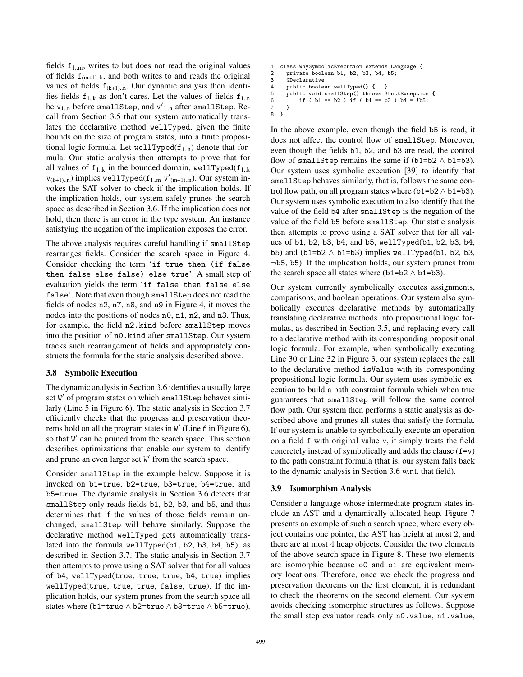fields  $f_{1,m}$ , writes to but does not read the original values of fields  $f_{(m+1),k}$ , and both writes to and reads the original values of fields  $f_{(k+1) \dots n}$ . Our dynamic analysis then identifies fields  $f_{1,k}$  as don't cares. Let the values of fields  $f_{1,n}$ be  $v_{1..n}$  before smallStep, and  $v{'}_{1..n}$  after smallStep. Recall from Section 3.5 that our system automatically translates the declarative method wellTyped, given the finite bounds on the size of program states, into a finite propositional logic formula. Let wellTyped( $f_{1,n}$ ) denote that formula. Our static analysis then attempts to prove that for all values of  $f_{1..k}$  in the bounded domain, wellTyped( $f_{1..k}$ )  $v_{(k+1)...n}$ ) implies wellTyped( $f_{1...m}$  v'<sub>(m+1).n</sub>). Our system invokes the SAT solver to check if the implication holds. If the implication holds, our system safely prunes the search space as described in Section 3.6. If the implication does not hold, then there is an error in the type system. An instance satisfying the negation of the implication exposes the error.

The above analysis requires careful handling if smallStep rearranges fields. Consider the search space in Figure 4. Consider checking the term 'if true then (if false then false else false) else true'. A small step of evaluation yields the term 'if false then false else false'. Note that even though smallStep does not read the fields of nodes n2, n7, n8, and n9 in Figure 4, it moves the nodes into the positions of nodes n0, n1, n2, and n3. Thus, for example, the field n2.kind before smallStep moves into the position of n0.kind after smallStep. Our system tracks such rearrangement of fields and appropriately constructs the formula for the static analysis described above.

#### 3.8 Symbolic Execution

The dynamic analysis in Section 3.6 identifies a usually large set W' of program states on which smallStep behaves similarly (Line 5 in Figure 6). The static analysis in Section 3.7 efficiently checks that the progress and preservation theorems hold on all the program states in W' (Line 6 in Figure 6), so that W' can be pruned from the search space. This section describes optimizations that enable our system to identify and prune an even larger set  $W'$  from the search space.

Consider smallStep in the example below. Suppose it is invoked on b1=true, b2=true, b3=true, b4=true, and b5=true. The dynamic analysis in Section 3.6 detects that smallStep only reads fields b1, b2, b3, and b5, and thus determines that if the values of those fields remain unchanged, smallStep will behave similarly. Suppose the declarative method wellTyped gets automatically translated into the formula wellTyped(b1, b2, b3, b4, b5), as described in Section 3.7. The static analysis in Section 3.7 then attempts to prove using a SAT solver that for all values of b4, wellTyped(true, true, true, b4, true) implies wellTyped(true, true, true, false, true). If the implication holds, our system prunes from the search space all states where (b1=true  $\land$  b2=true  $\land$  b3=true  $\land$  b5=true).

```
1 class WhySymbolicExecution extends Language {
2 private boolean b1, b2, b3, b4, b5;
3 @Declarative
4 public boolean wellTyped() {...}
5 public void smallStep() throws StuckException {
6 if ( b1 == b2 ) if ( b1 == b3 ) b4 = !b5;
7 }
8 }
```
In the above example, even though the field b5 is read, it does not affect the control flow of smallStep. Moreover, even though the fields b1, b2, and b3 are read, the control flow of smallStep remains the same if  $(b1=b2 \land b1=b3)$ . Our system uses symbolic execution [39] to identify that smallStep behaves similarly, that is, follows the same control flow path, on all program states where (b1=b2  $\land$  b1=b3). Our system uses symbolic execution to also identify that the value of the field b4 after smallStep is the negation of the value of the field b5 before smallStep. Our static analysis then attempts to prove using a SAT solver that for all values of b1, b2, b3, b4, and b5, wellTyped(b1, b2, b3, b4, b5) and (b1=b2  $\land$  b1=b3) implies wellTyped(b1, b2, b3, ¬b5, b5). If the implication holds, our system prunes from the search space all states where (b1=b2  $\land$  b1=b3).

Our system currently symbolically executes assignments, comparisons, and boolean operations. Our system also symbolically executes declarative methods by automatically translating declarative methods into propositional logic formulas, as described in Section 3.5, and replacing every call to a declarative method with its corresponding propositional logic formula. For example, when symbolically executing Line 30 or Line 32 in Figure 3, our system replaces the call to the declarative method isValue with its corresponding propositional logic formula. Our system uses symbolic execution to build a path constraint formula which when true guarantees that smallStep will follow the same control flow path. Our system then performs a static analysis as described above and prunes all states that satisfy the formula. If our system is unable to symbolically execute an operation on a field f with original value v, it simply treats the field concretely instead of symbolically and adds the clause  $(f=v)$ to the path constraint formula (that is, our system falls back to the dynamic analysis in Section 3.6 w.r.t. that field).

#### 3.9 Isomorphism Analysis

Consider a language whose intermediate program states include an AST and a dynamically allocated heap. Figure 7 presents an example of such a search space, where every object contains one pointer, the AST has height at most 2, and there are at most 4 heap objects. Consider the two elements of the above search space in Figure 8. These two elements are isomorphic because o0 and o1 are equivalent memory locations. Therefore, once we check the progress and preservation theorems on the first element, it is redundant to check the theorems on the second element. Our system avoids checking isomorphic structures as follows. Suppose the small step evaluator reads only n0.value, n1.value,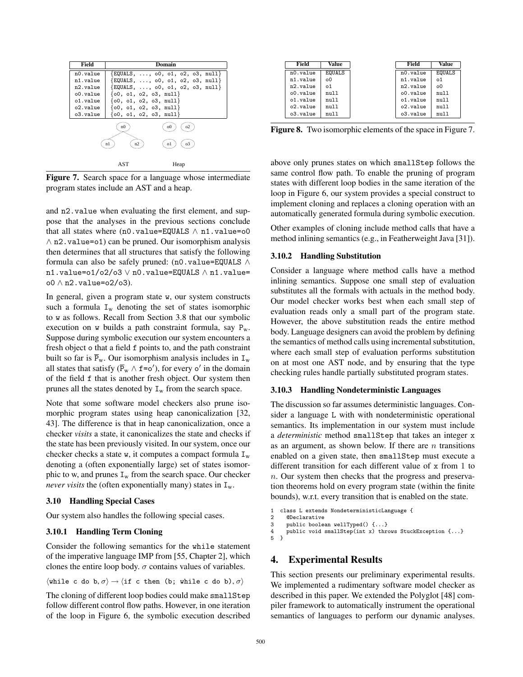| Field       | Domain                                                                        |
|-------------|-------------------------------------------------------------------------------|
| n0.value    | {EQUALS, , o0, o1, o2, o3, null}                                              |
| n1.value    | $\{$ EQUALS, $\ldots$ , $\circ$ 0, $\circ$ 1, $\circ$ 2, $\circ$ 3, null $\}$ |
| n2.value    | $\{$ EQUALS, $\ldots$ , $\circ$ 0, $\circ$ 1, $\circ$ 2, $\circ$ 3, null $\}$ |
| o0.value    | $\{00, 01, 02, 03, null\}$                                                    |
| $01.$ value | $\{00, 01, 02, 03, null\}$                                                    |
| o2.value    | $\{00, 01, 02, 03, null\}$                                                    |
| o3.value    | $\{00, 01, 02, 03, null\}$                                                    |
|             | o0<br>n0                                                                      |
|             | n2<br>o1<br>03                                                                |
|             | AST<br>Heap                                                                   |

Figure 7. Search space for a language whose intermediate program states include an AST and a heap.

and n2.value when evaluating the first element, and suppose that the analyses in the previous sections conclude that all states where  $(n0.value=EQUALS \wedge n1.value=00$ ∧ n2.value=o1) can be pruned. Our isomorphism analysis then determines that all structures that satisfy the following formula can also be safely pruned: (n0.value=EQUALS  $\land$ n1.value=o1/o2/o3 ∨ n0.value=EQUALS ∧ n1.value= o0 ∧ n2.value=o2/o3).

In general, given a program state w, our system constructs such a formula  $I_w$  denoting the set of states isomorphic to w as follows. Recall from Section 3.8 that our symbolic execution on w builds a path constraint formula, say  $P_w$ . Suppose during symbolic execution our system encounters a fresh object o that a field f points to, and the path constraint built so far is  $\bar{P}_{w}$ . Our isomorphism analysis includes in  $I_{w}$ all states that satisfy ( $\bar{P}_w \wedge f = o'$ ), for every o' in the domain of the field f that is another fresh object. Our system then prunes all the states denoted by  $I_w$  from the search space.

Note that some software model checkers also prune isomorphic program states using heap canonicalization [32, 43]. The difference is that in heap canonicalization, once a checker *visits* a state, it canonicalizes the state and checks if the state has been previously visited. In our system, once our checker checks a state w, it computes a compact formula  $I_w$ denoting a (often exponentially large) set of states isomorphic to w, and prunes  $I_w$  from the search space. Our checker *never visits* the (often exponentially many) states in  $I_w$ .

#### 3.10 Handling Special Cases

Our system also handles the following special cases.

#### 3.10.1 Handling Term Cloning

Consider the following semantics for the while statement of the imperative language IMP from [55, Chapter 2], which clones the entire loop body.  $\sigma$  contains values of variables.

$$
\langle \mathtt{while}\ c\ \mathtt{do}\ b, \sigma\rangle \rightarrow \langle \mathtt{if}\ c\ \mathtt{then}\ (\mathtt{b};\ \mathtt{while}\ c\ \mathtt{do}\ b) , \sigma\rangle
$$

The cloning of different loop bodies could make smallStep follow different control flow paths. However, in one iteration of the loop in Figure 6, the symbolic execution described

| Field    | Value          | Field    | Value         |
|----------|----------------|----------|---------------|
| n0.value | <b>EQUALS</b>  | n0.value | <b>EQUALS</b> |
| n1.value | 0 <sup>0</sup> | n1.value | o1            |
| n2.value | o1             | n2.value | o0            |
| o0.value | null           | o0.value | nu11          |
| o1.value | null           | o1.value | nu11          |
| o2.value | null           | o2.value | nu11          |
| o3.value | null           | o3.value | null          |

Figure 8. Two isomorphic elements of the space in Figure 7.

above only prunes states on which smallStep follows the same control flow path. To enable the pruning of program states with different loop bodies in the same iteration of the loop in Figure 6, our system provides a special construct to implement cloning and replaces a cloning operation with an automatically generated formula during symbolic execution.

Other examples of cloning include method calls that have a method inlining semantics (e.g., in Featherweight Java [31]).

#### 3.10.2 Handling Substitution

Consider a language where method calls have a method inlining semantics. Suppose one small step of evaluation substitutes all the formals with actuals in the method body. Our model checker works best when each small step of evaluation reads only a small part of the program state. However, the above substitution reads the entire method body. Language designers can avoid the problem by defining the semantics of method calls using incremental substitution, where each small step of evaluation performs substitution on at most one AST node, and by ensuring that the type checking rules handle partially substituted program states.

#### 3.10.3 Handling Nondeterministic Languages

The discussion so far assumes deterministic languages. Consider a language L with with nondeterministic operational semantics. Its implementation in our system must include a *deterministic* method smallStep that takes an integer x as an argument, as shown below. If there are  $n$  transitions enabled on a given state, then smallStep must execute a different transition for each different value of x from 1 to n. Our system then checks that the progress and preservation theorems hold on every program state (within the finite bounds), w.r.t. every transition that is enabled on the state.

```
1 class L extends NondeterministicLanguage {
```

```
2 @Declarative
3 public boolean wellTyped() {...}
```

```
4 public void smallStep(int x) throws StuckException \{... \}<br>5 }
```

```
\overline{1}
```
# 4. Experimental Results

This section presents our preliminary experimental results. We implemented a rudimentary software model checker as described in this paper. We extended the Polyglot [48] compiler framework to automatically instrument the operational semantics of languages to perform our dynamic analyses.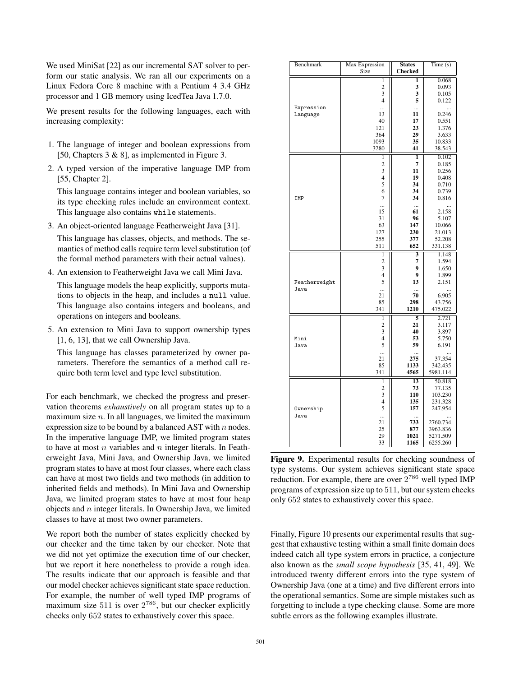We used MiniSat [22] as our incremental SAT solver to perform our static analysis. We ran all our experiments on a Linux Fedora Core 8 machine with a Pentium 4 3.4 GHz processor and 1 GB memory using IcedTea Java 1.7.0.

We present results for the following languages, each with increasing complexity:

- 1. The language of integer and boolean expressions from [50, Chapters 3 & 8], as implemented in Figure 3.
- 2. A typed version of the imperative language IMP from [55, Chapter 2].

This language contains integer and boolean variables, so its type checking rules include an environment context. This language also contains while statements.

3. An object-oriented language Featherweight Java [31].

This language has classes, objects, and methods. The semantics of method calls require term level substitution (of the formal method parameters with their actual values).

4. An extension to Featherweight Java we call Mini Java.

This language models the heap explicitly, supports mutations to objects in the heap, and includes a null value. This language also contains integers and booleans, and operations on integers and booleans.

5. An extension to Mini Java to support ownership types [1, 6, 13], that we call Ownership Java.

This language has classes parameterized by owner parameters. Therefore the semantics of a method call require both term level and type level substitution.

For each benchmark, we checked the progress and preservation theorems *exhaustively* on all program states up to a maximum size  $n$ . In all languages, we limited the maximum expression size to be bound by a balanced AST with  $n$  nodes. In the imperative language IMP, we limited program states to have at most  $n$  variables and  $n$  integer literals. In Featherweight Java, Mini Java, and Ownership Java, we limited program states to have at most four classes, where each class can have at most two fields and two methods (in addition to inherited fields and methods). In Mini Java and Ownership Java, we limited program states to have at most four heap objects and  $n$  integer literals. In Ownership Java, we limited classes to have at most two owner parameters.

We report both the number of states explicitly checked by our checker and the time taken by our checker. Note that we did not yet optimize the execution time of our checker, but we report it here nonetheless to provide a rough idea. The results indicate that our approach is feasible and that our model checker achieves significant state space reduction. For example, the number of well typed IMP programs of maximum size 511 is over  $2^{786}$ , but our checker explicitly checks only 652 states to exhaustively cover this space.

| Benchmark     | Max Expression          | <b>States</b>   | Time(s)   |
|---------------|-------------------------|-----------------|-----------|
|               | Size                    | <b>Checked</b>  |           |
|               | 1                       | 1               | 0.068     |
|               | $\overline{c}$          | 3               | 0.093     |
|               | 3                       | 3               | 0.105     |
|               | $\overline{4}$          | 5               | 0.122     |
| Expression    |                         | $\ddotsc$       | $\ddotsc$ |
| Language      | 13                      | 11              | 0.246     |
|               | 40                      | 17              | 0.551     |
|               | 121                     | 23              | 1.376     |
|               | 364                     | 29              | 3.633     |
|               | 1093                    | 35              | 10.833    |
|               | 3280                    | 41              | 38.543    |
|               |                         |                 |           |
|               | 1                       | 1<br>7          | 0.102     |
|               | $\overline{c}$          |                 | 0.185     |
|               | 3                       | 11              | 0.256     |
|               | 4                       | 19              | 0.408     |
|               | 5                       | 34              | 0.710     |
|               | 6                       | 34              | 0.739     |
| IMP           | 7                       | 34              | 0.816     |
|               |                         | $\ddotsc$       | $\ddotsc$ |
|               | 15                      | 61<br>96        | 2.158     |
|               | 31                      |                 | 5.107     |
|               | 63                      | 147             | 10.066    |
|               | 127                     | 230             | 21.013    |
|               | 255                     | 377             | 52.208    |
|               | 511                     | 652             | 331.138   |
|               | $\mathbf{1}$            | 3               | 1.148     |
|               | $\overline{c}$          | 7               | 1.594     |
|               | 3                       | 9               | 1.650     |
|               | $\overline{4}$          | 9               | 1.899     |
| Featherweight | 5                       | 13              | 2.151     |
| Java          |                         |                 |           |
|               | 21                      | 70              | 6.905     |
|               | 85                      | 298             | 43.756    |
|               | 341                     | 1210            | 475.022   |
|               | 1                       | $\overline{5}$  | 2.721     |
|               | $\overline{c}$          | 21              | 3.117     |
|               | 3                       | 40              | 3.897     |
| Mini          | 4                       | 53              | 5.750     |
| Java          | 5                       | 59              | 6.191     |
|               |                         |                 |           |
|               | 21                      | 275             | 37.354    |
|               | 85                      | 1133            | 342.435   |
|               | 341                     | 4565            | 5981.114  |
|               | $\overline{1}$          | $\overline{13}$ | 50.818    |
|               | $\overline{\mathbf{c}}$ | 73              | 77.135    |
|               | 3                       | 110             | 103.230   |
|               | $\overline{4}$          | 135             | 231.328   |
| Ownership     | 5                       | 157             | 247.954   |
| Java          |                         |                 |           |
|               | 21                      | 733             | 2760.734  |
|               | 25                      | 877             | 3963.836  |
|               | 29                      | 1021            | 5271.509  |
|               | 33                      | 1165            | 6255.260  |

Figure 9. Experimental results for checking soundness of type systems. Our system achieves significant state space reduction. For example, there are over  $2^{786}$  well typed IMP programs of expression size up to 511, but our system checks only 652 states to exhaustively cover this space.

Finally, Figure 10 presents our experimental results that suggest that exhaustive testing within a small finite domain does indeed catch all type system errors in practice, a conjecture also known as the *small scope hypothesis* [35, 41, 49]. We introduced twenty different errors into the type system of Ownership Java (one at a time) and five different errors into the operational semantics. Some are simple mistakes such as forgetting to include a type checking clause. Some are more subtle errors as the following examples illustrate.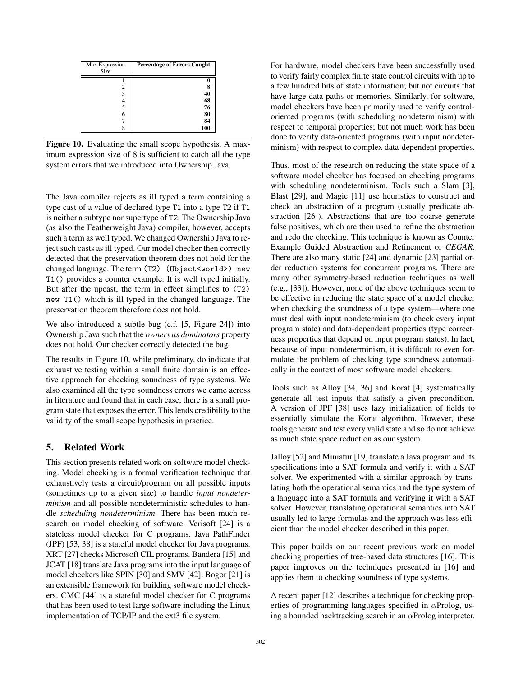| Max Expression<br>Size | <b>Percentage of Errors Caught</b> |
|------------------------|------------------------------------|
|                        |                                    |
|                        | 8                                  |
| 3                      | 40                                 |
|                        | 68                                 |
|                        | 76                                 |
| 6                      | 80                                 |
|                        | 84                                 |
|                        | 100                                |

Figure 10. Evaluating the small scope hypothesis. A maximum expression size of 8 is sufficient to catch all the type system errors that we introduced into Ownership Java.

The Java compiler rejects as ill typed a term containing a type cast of a value of declared type T1 into a type T2 if T1 is neither a subtype nor supertype of T2. The Ownership Java (as also the Featherweight Java) compiler, however, accepts such a term as well typed. We changed Ownership Java to reject such casts as ill typed. Our model checker then correctly detected that the preservation theorem does not hold for the changed language. The term (T2) (Object<world>) new T1() provides a counter example. It is well typed initially. But after the upcast, the term in effect simplifies to (T2) new T1() which is ill typed in the changed language. The preservation theorem therefore does not hold.

We also introduced a subtle bug (c.f. [5, Figure 24]) into Ownership Java such that the *owners as dominators* property does not hold. Our checker correctly detected the bug.

The results in Figure 10, while preliminary, do indicate that exhaustive testing within a small finite domain is an effective approach for checking soundness of type systems. We also examined all the type soundness errors we came across in literature and found that in each case, there is a small program state that exposes the error. This lends credibility to the validity of the small scope hypothesis in practice.

# 5. Related Work

This section presents related work on software model checking. Model checking is a formal verification technique that exhaustively tests a circuit/program on all possible inputs (sometimes up to a given size) to handle *input nondeterminism* and all possible nondeterministic schedules to handle *scheduling nondeterminism*. There has been much research on model checking of software. Verisoft [24] is a stateless model checker for C programs. Java PathFinder (JPF) [53, 38] is a stateful model checker for Java programs. XRT [27] checks Microsoft CIL programs. Bandera [15] and JCAT [18] translate Java programs into the input language of model checkers like SPIN [30] and SMV [42]. Bogor [21] is an extensible framework for building software model checkers. CMC [44] is a stateful model checker for C programs that has been used to test large software including the Linux implementation of TCP/IP and the ext3 file system.

For hardware, model checkers have been successfully used to verify fairly complex finite state control circuits with up to a few hundred bits of state information; but not circuits that have large data paths or memories. Similarly, for software, model checkers have been primarily used to verify controloriented programs (with scheduling nondeterminism) with respect to temporal properties; but not much work has been done to verify data-oriented programs (with input nondeterminism) with respect to complex data-dependent properties.

Thus, most of the research on reducing the state space of a software model checker has focused on checking programs with scheduling nondeterminism. Tools such a Slam [3], Blast [29], and Magic [11] use heuristics to construct and check an abstraction of a program (usually predicate abstraction [26]). Abstractions that are too coarse generate false positives, which are then used to refine the abstraction and redo the checking. This technique is known as Counter Example Guided Abstraction and Refinement or *CEGAR*. There are also many static [24] and dynamic [23] partial order reduction systems for concurrent programs. There are many other symmetry-based reduction techniques as well (e.g., [33]). However, none of the above techniques seem to be effective in reducing the state space of a model checker when checking the soundness of a type system—where one must deal with input nondeterminism (to check every input program state) and data-dependent properties (type correctness properties that depend on input program states). In fact, because of input nondeterminism, it is difficult to even formulate the problem of checking type soundness automatically in the context of most software model checkers.

Tools such as Alloy [34, 36] and Korat [4] systematically generate all test inputs that satisfy a given precondition. A version of JPF [38] uses lazy initialization of fields to essentially simulate the Korat algorithm. However, these tools generate and test every valid state and so do not achieve as much state space reduction as our system.

Jalloy [52] and Miniatur [19] translate a Java program and its specifications into a SAT formula and verify it with a SAT solver. We experimented with a similar approach by translating both the operational semantics and the type system of a language into a SAT formula and verifying it with a SAT solver. However, translating operational semantics into SAT usually led to large formulas and the approach was less efficient than the model checker described in this paper.

This paper builds on our recent previous work on model checking properties of tree-based data structures [16]. This paper improves on the techniques presented in [16] and applies them to checking soundness of type systems.

A recent paper [12] describes a technique for checking properties of programming languages specified in  $\alpha$ Prolog, using a bounded backtracking search in an  $\alpha$ Prolog interpreter.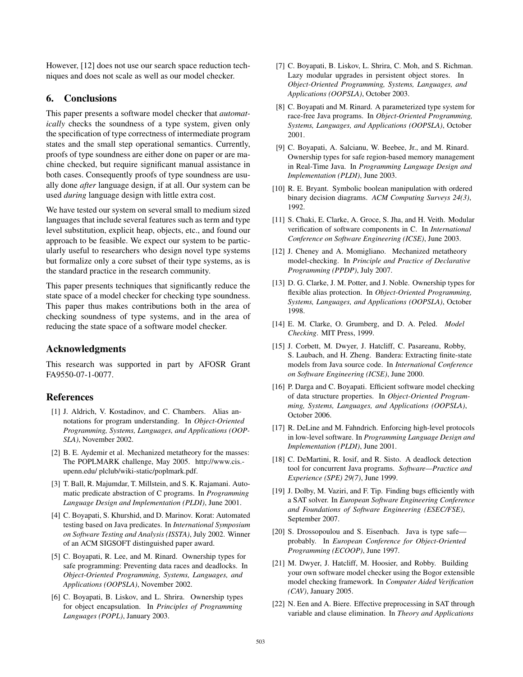However, [12] does not use our search space reduction techniques and does not scale as well as our model checker.

# 6. Conclusions

This paper presents a software model checker that *automatically* checks the soundness of a type system, given only the specification of type correctness of intermediate program states and the small step operational semantics. Currently, proofs of type soundness are either done on paper or are machine checked, but require significant manual assistance in both cases. Consequently proofs of type soundness are usually done *after* language design, if at all. Our system can be used *during* language design with little extra cost.

We have tested our system on several small to medium sized languages that include several features such as term and type level substitution, explicit heap, objects, etc., and found our approach to be feasible. We expect our system to be particularly useful to researchers who design novel type systems but formalize only a core subset of their type systems, as is the standard practice in the research community.

This paper presents techniques that significantly reduce the state space of a model checker for checking type soundness. This paper thus makes contributions both in the area of checking soundness of type systems, and in the area of reducing the state space of a software model checker.

# Acknowledgments

This research was supported in part by AFOSR Grant FA9550-07-1-0077.

# References

- [1] J. Aldrich, V. Kostadinov, and C. Chambers. Alias annotations for program understanding. In *Object-Oriented Programming, Systems, Languages, and Applications (OOP-SLA)*, November 2002.
- [2] B. E. Aydemir et al. Mechanized metatheory for the masses: The POPLMARK challenge, May 2005. http://www.cis. upenn.edu/ plclub/wiki-static/poplmark.pdf.
- [3] T. Ball, R. Majumdar, T. Millstein, and S. K. Rajamani. Automatic predicate abstraction of C programs. In *Programming Language Design and Implementation (PLDI)*, June 2001.
- [4] C. Boyapati, S. Khurshid, and D. Marinov. Korat: Automated testing based on Java predicates. In *International Symposium on Software Testing and Analysis (ISSTA)*, July 2002. Winner of an ACM SIGSOFT distinguished paper award.
- [5] C. Boyapati, R. Lee, and M. Rinard. Ownership types for safe programming: Preventing data races and deadlocks. In *Object-Oriented Programming, Systems, Languages, and Applications (OOPSLA)*, November 2002.
- [6] C. Boyapati, B. Liskov, and L. Shrira. Ownership types for object encapsulation. In *Principles of Programming Languages (POPL)*, January 2003.
- [7] C. Boyapati, B. Liskov, L. Shrira, C. Moh, and S. Richman. Lazy modular upgrades in persistent object stores. In *Object-Oriented Programming, Systems, Languages, and Applications (OOPSLA)*, October 2003.
- [8] C. Boyapati and M. Rinard. A parameterized type system for race-free Java programs. In *Object-Oriented Programming, Systems, Languages, and Applications (OOPSLA)*, October 2001.
- [9] C. Boyapati, A. Salcianu, W. Beebee, Jr., and M. Rinard. Ownership types for safe region-based memory management in Real-Time Java. In *Programming Language Design and Implementation (PLDI)*, June 2003.
- [10] R. E. Bryant. Symbolic boolean manipulation with ordered binary decision diagrams. *ACM Computing Surveys 24(3)*, 1992.
- [11] S. Chaki, E. Clarke, A. Groce, S. Jha, and H. Veith. Modular verification of software components in C. In *International Conference on Software Engineering (ICSE)*, June 2003.
- [12] J. Cheney and A. Momigliano. Mechanized metatheory model-checking. In *Principle and Practice of Declarative Programming (PPDP)*, July 2007.
- [13] D. G. Clarke, J. M. Potter, and J. Noble. Ownership types for flexible alias protection. In *Object-Oriented Programming, Systems, Languages, and Applications (OOPSLA)*, October 1998.
- [14] E. M. Clarke, O. Grumberg, and D. A. Peled. *Model Checking*. MIT Press, 1999.
- [15] J. Corbett, M. Dwyer, J. Hatcliff, C. Pasareanu, Robby, S. Laubach, and H. Zheng. Bandera: Extracting finite-state models from Java source code. In *International Conference on Software Engineering (ICSE)*, June 2000.
- [16] P. Darga and C. Boyapati. Efficient software model checking of data structure properties. In *Object-Oriented Programming, Systems, Languages, and Applications (OOPSLA)*, October 2006.
- [17] R. DeLine and M. Fahndrich. Enforcing high-level protocols in low-level software. In *Programming Language Design and Implementation (PLDI)*, June 2001.
- [18] C. DeMartini, R. Iosif, and R. Sisto. A deadlock detection tool for concurrent Java programs. *Software—Practice and Experience (SPE) 29(7)*, June 1999.
- [19] J. Dolby, M. Vaziri, and F. Tip. Finding bugs efficiently with a SAT solver. In *European Software Engineering Conference and Foundations of Software Engineering (ESEC/FSE)*, September 2007.
- [20] S. Drossopoulou and S. Eisenbach. Java is type safe probably. In *European Conference for Object-Oriented Programming (ECOOP)*, June 1997.
- [21] M. Dwyer, J. Hatcliff, M. Hoosier, and Robby. Building your own software model checker using the Bogor extensible model checking framework. In *Computer Aided Verification (CAV)*, January 2005.
- [22] N. Een and A. Biere. Effective preprocessing in SAT through variable and clause elimination. In *Theory and Applications*